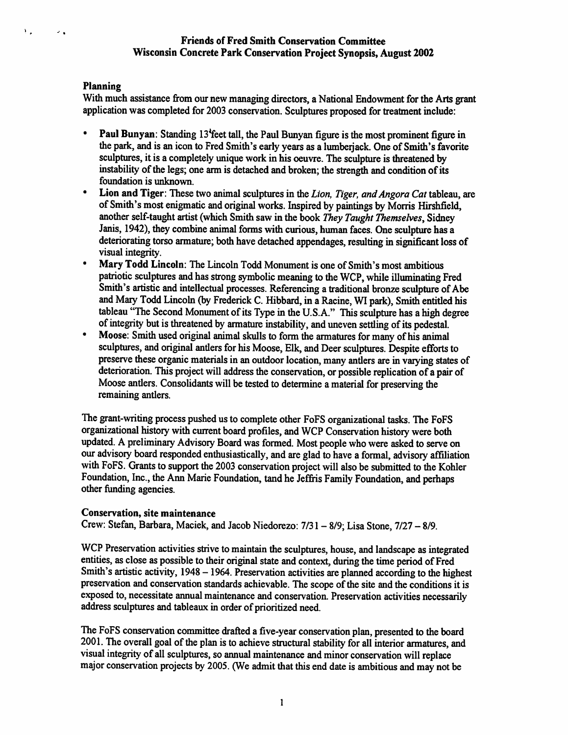## Friends of Fred Smith Conservation Committee Wisconsin Concrete Park Conservation Project Synopsis, August 2002

## Planning

 $V_{\rm eff}$ 

 $\mathcal{L}_{\mathbf{A}}$ 

With much assistance from our new managing directors, a National Endowment for the Arts grant application was completed for 2003 conservation. Sculptures proposed for treatment include:

- Paul Bunyan: Standing 13<sup>t</sup>feet tall, the Paul Bunyan figure is the most prominent figure in the park, and is an icon to Fred Smith's early years as a lumberjack. One of Smith's favorite sculptures, it is a completely unique work in his oeuvre. The sculpture is threatened by instability of the legs; one arm is detached and broken; the strength and condition of its foundation is unknown.
- Lion and Tiger: These two animal sculptures in the Lion, Tiger, and Angora Cat tableau, are of Smith's most enigmatic and original works. Inspired by paintings by Morris Hirshfield, another self-taught artist (which Smith saw in the book They Taught Themselves, Sidney Janis, 1942), they combine animal forms with curious, human faces. One sculpture has a deteriorating torso armature; both have detached appendages, resulting in significant loss of visual integrity.
- Mary Todd Lincoln: The Lincoln Todd Monument is one of Smith's most ambitious patriotic sculptures and has strong symbolic meaning to the WCP, while illuminating Fred Smith's artistic and intellectual processes. Referencing a traditional bronze sculpture of Abe and Mary Todd Lincohi (by Frederick C. Hibbard, in a Racine, WI park). Smith entitled his tableau "The Second Monument of its Type in the U.S.A." This sculpture has a high degree
- of integrity but is threatened by armature instability, and uneven settling of its pedestal. Moose: Smith used original animal skulls to form the armatures for many of his animal sculptures, and original antlers for his Moose, Elk, and Deer sculptures. Despite efforts to preserve these organic materials in an outdoor location, many anders are in varying states of deterioration. This project will address the conservation, or possible replication of a pair of Moose antlers. Consolidants will be tested to determine a material for preserving the remaining antlers.

The grant-wnting process pushed us to complete other FoFS organizational tasks. The FoFS organizational history with current board profiles, and WCP Conservation history were both updated. A preliminary Advisory Board was formed. Most people who were asked to serve on our advisory board responded enthusiastically, and are glad to have a formal, advisory affiliation with FoFS. Grants to support the 2003 conservation project will also be submitted to the Kohler Foundation, Inc., the Ann Marie Foundation, tand he Jeffris Family Foundation, and perhaps other fimding agencies.

### Conservation, site maintenance

Crew: Stefan, Barbara, Maciek, and Jacob Niedorezo: 7/31 - 8/9; Lisa Stone, 7/27 - 8/9.

WCP Preservation activities strive to maintain the sculptures, house, and landscape as integrated entities, as close as possible to their original state and context, during the time period of Fred Smith's artistic activity, 1948 - 1964. Preservation activities are planned according to the highest preservation and conservation standards achievable. The scope of the site and the conditions it is exposed to, necessitate annual maintenance and conservation. Preservation activities necessarily address sculptures and tableaux m order of prioritized need.

The FoFS conservation committee drafted a five-year conservation plan, presented to the board 2001. The overall goal of the plan is to achieve structural stability for all interior armatures, and visual integrity of all sculptures, so annual maintenance and minor conservation will replace major conservation projects by 2005. (We admit that this end date is ambitious and may not be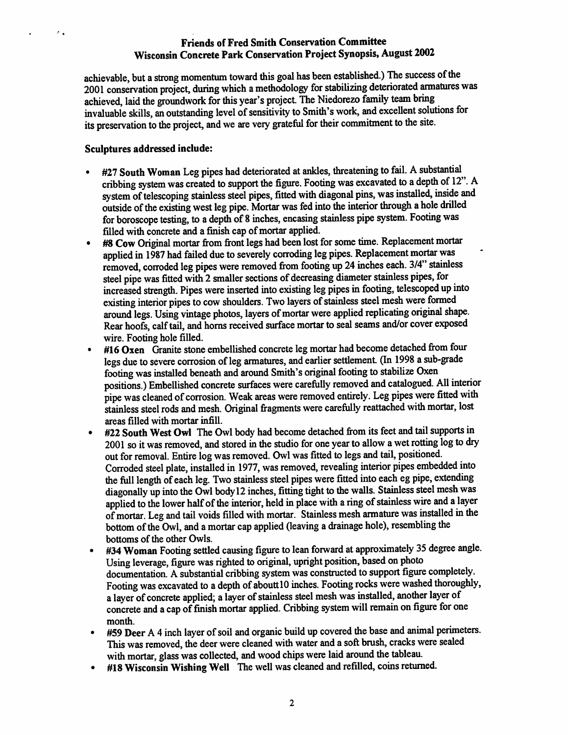# Friends of Fred Smith Conservation Committee Wisconsin Concrete Park Conservation Project Synopsis, August 2002

achievable, but a strong momentum toward this goal has been established.) The success of the 2001 conservation project, during which a methodology for stabilizing deteriorated armatures was achieved, laid the groundwork for this year's project. The Niedorezo family team bring invaluable skills, an outstanding level of sensitivity to Smith's work, and excellent solutions for its preservation to the project, and we are very grateful for their commitment to the site.

### Sculptures addressed include:

 $\mathcal{F}_{\mathcal{A}}$ 

- #27 South Woman Leg pipes had deteriorated at ankles, threatening to fail. A substantial cribbing system was created to support the figure. Footing was excavated to a depth of 12". A system of telescoping stainless steel pipes, fitted with diagonal pins, was instaled, inside and outside of the existing west leg pipe. Mortar was fed into the interior through a hole drilled for boroscope testing, to a depth of 8 inches, encasing stainless pipe system. Footing was filled with concrete and a finish cap of mortar applied.
- #8 Cow Original mortar from front legs had been lost for some time. Replacement mortar applied in 1987 had failed due to severely corroding leg pipes. Replacement mortar was applied in 1987 had failed due to severely corroding leg pipes. Replacement mortar was removed, corroded leg pipes were removed from footing up 24 inches each. 3/4 stainless steel pipe was fitted with 2 smaller sections of decreasing diameter stainless pipes, for increased strength. Pipes were inserted into existing leg pipes in footing, telescoped up into existing interior pipes to cow shoulders. Two layers of stainless steel mesh were formed around legs. Using vintage photos, layers of mortar were applied replicating original shape. Rear hoofs, calf tail, and horns received surface mortar to seal seams and/or cover exposed
- #16 Oxen Granite stone embellished concrete leg mortar had become detached from four legs due to severe corrosion of leg armatures, and earlier settlement. (In 1998 a sub-grade footing was installed beneath and around Smith's original footing to stabilize Oxen positions.) Embellished concrete surfaces were carefully removed and catalogued. All interior pipe was cleaned of corrosion. Weak areas were removed entirely. Leg pipes were fitted with stainless steel rods and mesh. Original firagments were carefiilly reattached with mortar, lost areas filled with mortar infill.
- #22 South West Owl The Owl body had become detached from its feet and tail supports in 2001 so it was removed, and stored in the studio for one year to allow a wet rotting log to dry out for removal. Entire log was removed. Owl was fitted to legs and tail, positioned. Corroded steel plate, installed in 1977, was removed, revealing interior pipes embedded into the full length of each leg. Two stainless steel pipes were fitted into each eg pipe, extending diagonally up into the Owl body 12 inches, fitting tight to the walls. Stainless steel mesh was applied to the lower half of the interior, held in place with a ring of stainless wire and a layer of mortar. Leg and tail voids filled with mortar. Stainless mesh armature was installed in the bottom of the Owl, and a mortar cap applied (leaving a drainage hole), resembling the bottoms of the other Owls.
- #34 Woman Footing settled causing figure to lean forward at approximately 35 degree angle. Using leverage, figure was righted to original, upright position, based on photo documentation. A substantial cribbing system was constructed to support figure completely. Footing was excavated to a depth of aboutt10 inches. Footing rocks were washed thoroughly, a layer of concrete applied; a layer of stainless steel mesh was installed, another layer of concrete and a cap of finish mortar applied. Cribbing system will remam on figure for one month.
- #59 Deer A 4 inch layer of soil and organic build up covered the base and animal perimeters. This was removed, the deer were cleaned with water and a soft brush, cracks were sealed with mortar, glass was collected, and wood chips were laid around the tableau.
- \* #18 Wisconsin Wishing Well The well was cleaned and refilled, coins returned.